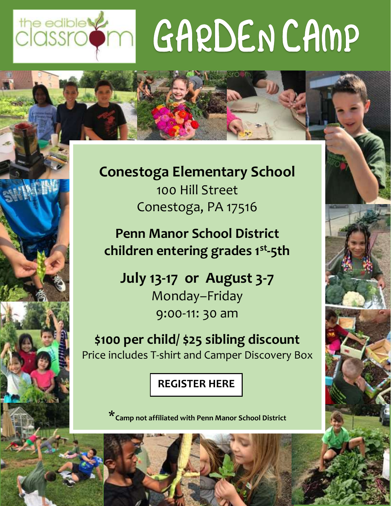# the edible very GARDENCAMP



**Conestoga Elementary School** 100 Hill Street Conestoga, PA 17516

**Penn Manor School District children entering grades 1st -5th**

**July 13-17 or August 3-7** Monday–Friday 9:00-11: 30 am

**\$100 per child/ \$25 sibling discount** Price includes T-shirt and Camper Discovery Box

### **[REGISTER HERE](https://www.theedibleclassroom.org/2020conestoga-registration)**

\***Camp not affiliated with Penn Manor School District**